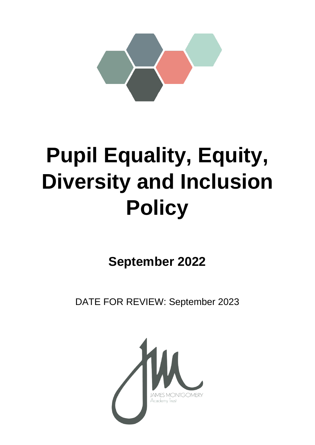

# **Pupil Equality, Equity, Diversity and Inclusion Policy**

**September 2022**

DATE FOR REVIEW: September 2023

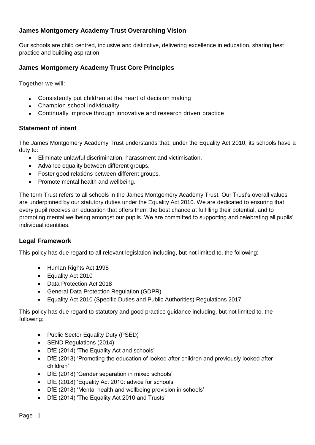# **James Montgomery Academy Trust Overarching Vision**

Our schools are child centred, inclusive and distinctive, delivering excellence in education, sharing best practice and building aspiration.

## **James Montgomery Academy Trust Core Principles**

Together we will:

- Consistently put children at the heart of decision making
- Champion school individuality
- Continually improve through innovative and research driven practice

#### **Statement of intent**

The James Montgomery Academy Trust understands that, under the Equality Act 2010, its schools have a duty to:

- Eliminate unlawful discrimination, harassment and victimisation.
- Advance equality between different groups.
- Foster good relations between different groups.
- Promote mental health and wellbeing.

The term Trust refers to all schools in the James Montgomery Academy Trust. Our Trust's overall values are underpinned by our statutory duties under the Equality Act 2010. We are dedicated to ensuring that every pupil receives an education that offers them the best chance at fulfilling their potential, and to promoting mental wellbeing amongst our pupils. We are committed to supporting and celebrating all pupils' individual identities.

## **Legal Framework**

This policy has due regard to all relevant legislation including, but not limited to, the following:

- Human Rights Act 1998
- Equality Act 2010
- Data Protection Act 2018
- General Data Protection Regulation (GDPR)
- Equality Act 2010 (Specific Duties and Public Authorities) Regulations 2017

This policy has due regard to statutory and good practice guidance including, but not limited to, the following:

- Public Sector Equality Duty (PSED)
- SEND Regulations (2014)
- DfE (2014) 'The Equality Act and schools'
- DfE (2018) 'Promoting the education of looked after children and previously looked after children'
- DfE (2018) 'Gender separation in mixed schools'
- DfE (2018) 'Equality Act 2010: advice for schools'
- DfE (2018) 'Mental health and wellbeing provision in schools'
- DfE (2014) 'The Equality Act 2010 and Trusts'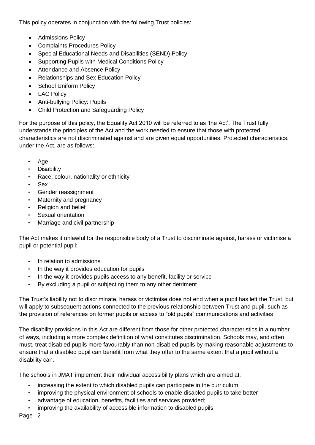This policy operates in conjunction with the following Trust policies:

- **•** Admissions Policy
- Complaints Procedures Policy
- Special Educational Needs and Disabilities (SEND) Policy
- Supporting Pupils with Medical Conditions Policy
- Attendance and Absence Policy
- Relationships and Sex Education Policy
- School Uniform Policy
- LAC Policy
- Anti-bullying Policy: Pupils
- Child Protection and Safeguarding Policy

For the purpose of this policy, the Equality Act 2010 will be referred to as 'the Act'. The Trust fully understands the principles of the Act and the work needed to ensure that those with protected characteristics are not discriminated against and are given equal opportunities. Protected characteristics, under the Act, are as follows:

- Age
- **Disability**
- Race, colour, nationality or ethnicity
- Sex
- Gender reassignment
- Maternity and pregnancy
- Religion and belief
- Sexual orientation
- Marriage and civil partnership

The Act makes it unlawful for the responsible body of a Trust to discriminate against, harass or victimise a pupil or potential pupil:

- In relation to admissions
- In the way it provides education for pupils
- In the way it provides pupils access to any benefit, facility or service
- By excluding a pupil or subjecting them to any other detriment

The Trust's liability not to discriminate, harass or victimise does not end when a pupil has left the Trust, but will apply to subsequent actions connected to the previous relationship between Trust and pupil, such as the provision of references on former pupils or access to "old pupils" communications and activities

The disability provisions in this Act are different from those for other protected characteristics in a number of ways, including a more complex definition of what constitutes discrimination. Schools may, and often must, treat disabled pupils more favourably than non-disabled pupils by making reasonable adjustments to ensure that a disabled pupil can benefit from what they offer to the same extent that a pupil without a disability can.

The schools in JMAT implement their individual accessibility plans which are aimed at:

- increasing the extent to which disabled pupils can participate in the curriculum;
- improving the physical environment of schools to enable disabled pupils to take better
- advantage of education, benefits, facilities and services provided;
- improving the availability of accessible information to disabled pupils.

Page | 2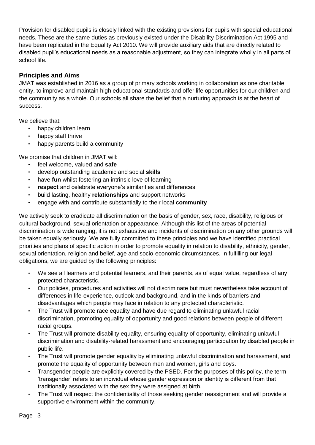Provision for disabled pupils is closely linked with the existing provisions for pupils with special educational needs. These are the same duties as previously existed under the Disability Discrimination Act 1995 and have been replicated in the Equality Act 2010. We will provide auxiliary aids that are directly related to disabled pupil's educational needs as a reasonable adjustment, so they can integrate wholly in all parts of school life.

# **Principles and Aims**

JMAT was established in 2016 as a group of primary schools working in collaboration as one charitable entity, to improve and maintain high educational standards and offer life opportunities for our children and the community as a whole. Our schools all share the belief that a nurturing approach is at the heart of success.

We believe that:

- happy children learn
- happy staff thrive
- happy parents build a community

We promise that children in JMAT will:

- feel welcome, valued and **safe**
- develop outstanding academic and social **skills**
- have **fun** whilst fostering an intrinsic love of learning
- **respect** and celebrate everyone's similarities and differences
- build lasting, healthy **relationships** and support networks
- engage with and contribute substantially to their local **community**

We actively seek to eradicate all discrimination on the basis of gender, sex, race, disability, religious or cultural background, sexual orientation or appearance. Although this list of the areas of potential discrimination is wide ranging, it is not exhaustive and incidents of discrimination on any other grounds will be taken equally seriously. We are fully committed to these principles and we have identified practical priorities and plans of specific action in order to promote equality in relation to disability, ethnicity, gender, sexual orientation, religion and belief, age and socio-economic circumstances. In fulfilling our legal obligations, we are guided by the following principles:

- We see all learners and potential learners, and their parents, as of equal value, regardless of any protected characteristic.
- Our policies, procedures and activities will not discriminate but must nevertheless take account of differences in life-experience, outlook and background, and in the kinds of barriers and disadvantages which people may face in relation to any protected characteristic.
- The Trust will promote race equality and have due regard to eliminating unlawful racial discrimination, promoting equality of opportunity and good relations between people of different racial groups.
- The Trust will promote disability equality, ensuring equality of opportunity, eliminating unlawful discrimination and disability-related harassment and encouraging participation by disabled people in public life.
- The Trust will promote gender equality by eliminating unlawful discrimination and harassment, and promote the equality of opportunity between men and women, girls and boys.
- Transgender people are explicitly covered by the PSED. For the purposes of this policy, the term 'transgender' refers to an individual whose gender expression or identity is different from that traditionally associated with the sex they were assigned at birth.
- The Trust will respect the confidentiality of those seeking gender reassignment and will provide a supportive environment within the community.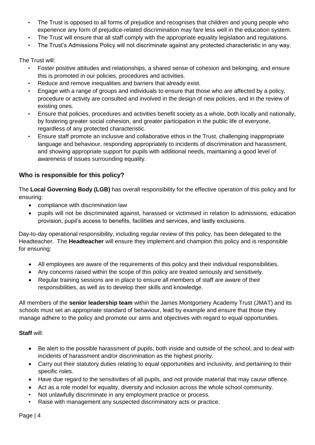- The Trust is opposed to all forms of prejudice and recognises that children and young people who experience any form of prejudice-related discrimination may fare less well in the education system.
- The Trust will ensure that all staff comply with the appropriate equality legislation and regulations.
- The Trust's Admissions Policy will not discriminate against any protected characteristic in any way.

The Trust will:

- Foster positive attitudes and relationships, a shared sense of cohesion and belonging, and ensure this is promoted in our policies, procedures and activities.
- Reduce and remove inequalities and barriers that already exist.
- Engage with a range of groups and individuals to ensure that those who are affected by a policy, procedure or activity are consulted and involved in the design of new policies, and in the review of existing ones.
- Ensure that policies, procedures and activities benefit society as a whole, both locally and nationally, by fostering greater social cohesion, and greater participation in the public life of everyone, regardless of any protected characteristic.
- Ensure staff promote an inclusive and collaborative ethos in the Trust, challenging inappropriate language and behaviour, responding appropriately to incidents of discrimination and harassment, and showing appropriate support for pupils with additional needs, maintaining a good level of awareness of issues surrounding equality.

## **Who is responsible for this policy?**

The **Local Governing Body (LGB)** has overall responsibility for the effective operation of this policy and for ensuring:

- compliance with discrimination law
- pupils will not be discriminated against, harassed or victimised in relation to admissions, education provision, pupil's access to benefits, facilities and services, and lastly exclusions.

Day-to-day operational responsibility, including regular review of this policy, has been delegated to the Headteacher. The **Headteacher** will ensure they implement and champion this policy and is responsible for ensuring:

- All employees are aware of the requirements of this policy and their individual responsibilities.
- Any concerns raised within the scope of this policy are treated seriously and sensitively.
- Regular training sessions are in place to ensure all members of staff are aware of their responsibilities, as well as to develop their skills and knowledge.

All members of the **senior leadership team** within the James Montgomery Academy Trust (JMAT) and its schools must set an appropriate standard of behaviour, lead by example and ensure that those they manage adhere to the policy and promote our aims and objectives with regard to equal opportunities.

#### **Staff** will:

- Be alert to the possible harassment of pupils, both inside and outside of the school, and to deal with incidents of harassment and/or discrimination as the highest priority.
- Carry out their statutory duties relating to equal opportunities and inclusivity, and pertaining to their specific roles.
- Have due regard to the sensitivities of all pupils, and not provide material that may cause offence.
- Act as a role model for equality, diversity and inclusion across the whole school community.
- Not unlawfully discriminate in any employment practice or process.
- Raise with management any suspected discriminatory acts or practice.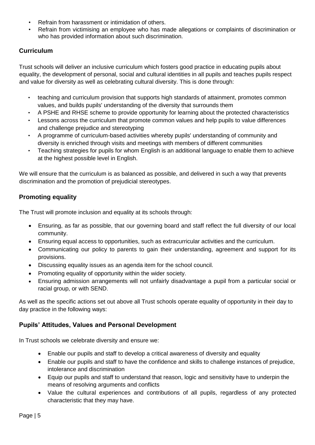- Refrain from harassment or intimidation of others.
- Refrain from victimising an employee who has made allegations or complaints of discrimination or who has provided information about such discrimination.

# **Curriculum**

Trust schools will deliver an inclusive curriculum which fosters good practice in educating pupils about equality, the development of personal, social and cultural identities in all pupils and teaches pupils respect and value for diversity as well as celebrating cultural diversity. This is done through:

- teaching and curriculum provision that supports high standards of attainment, promotes common values, and builds pupils' understanding of the diversity that surrounds them
- A PSHE and RHSE scheme to provide opportunity for learning about the protected characteristics
- Lessons across the curriculum that promote common values and help pupils to value differences and challenge prejudice and stereotyping
- A programme of curriculum-based activities whereby pupils' understanding of community and diversity is enriched through visits and meetings with members of different communities
- Teaching strategies for pupils for whom English is an additional language to enable them to achieve at the highest possible level in English.

We will ensure that the curriculum is as balanced as possible, and delivered in such a way that prevents discrimination and the promotion of prejudicial stereotypes.

# **Promoting equality**

The Trust will promote inclusion and equality at its schools through:

- Ensuring, as far as possible, that our governing board and staff reflect the full diversity of our local community.
- Ensuring equal access to opportunities, such as extracurricular activities and the curriculum.
- Communicating our policy to parents to gain their understanding, agreement and support for its provisions.
- Discussing equality issues as an agenda item for the school council.
- Promoting equality of opportunity within the wider society.
- Ensuring admission arrangements will not unfairly disadvantage a pupil from a particular social or racial group, or with SEND.

As well as the specific actions set out above all Trust schools operate equality of opportunity in their day to day practice in the following ways:

# **Pupils' Attitudes, Values and Personal Development**

In Trust schools we celebrate diversity and ensure we:

- Enable our pupils and staff to develop a critical awareness of diversity and equality
- Enable our pupils and staff to have the confidence and skills to challenge instances of prejudice, intolerance and discrimination
- Equip our pupils and staff to understand that reason, logic and sensitivity have to underpin the means of resolving arguments and conflicts
- Value the cultural experiences and contributions of all pupils, regardless of any protected characteristic that they may have.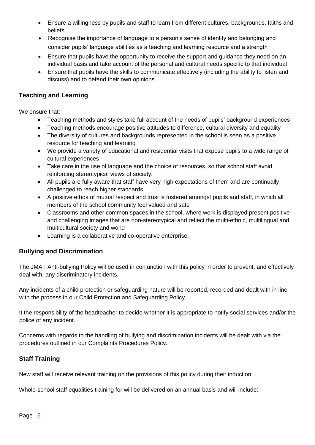- Ensure a willingness by pupils and staff to learn from different cultures, backgrounds, faiths and beliefs
- Recognise the importance of language to a person's sense of identity and belonging and consider pupils' language abilities as a teaching and learning resource and a strength
- Ensure that pupils have the opportunity to receive the support and guidance they need on an individual basis and take account of the personal and cultural needs specific to that individual
- Ensure that pupils have the skills to communicate effectively (including the ability to listen and discuss) and to defend their own opinions.

## **Teaching and Learning**

We ensure that:

- Teaching methods and styles take full account of the needs of pupils' background experiences
- Teaching methods encourage positive attitudes to difference, cultural diversity and equality
- The diversity of cultures and backgrounds represented in the school is seen as a positive resource for teaching and learning
- We provide a variety of educational and residential visits that expose pupils to a wide range of cultural experiences
- Take care in the use of language and the choice of resources, so that school staff avoid reinforcing stereotypical views of society.
- All pupils are fully aware that staff have very high expectations of them and are continually challenged to reach higher standards
- A positive ethos of mutual respect and trust is fostered amongst pupils and staff, in which all members of the school community feel valued and safe
- Classrooms and other common spaces in the school, where work is displayed present positive and challenging images that are non-stereotypical and reflect the multi-ethnic, multilingual and multicultural society and world
- Learning is a collaborative and co-operative enterprise.

# **Bullying and Discrimination**

The JMAT Anti-bullying Policy will be used in conjunction with this policy in order to prevent, and effectively deal with, any discriminatory incidents.

Any incidents of a child protection or safeguarding nature will be reported, recorded and dealt with in line with the process in our Child Protection and Safeguarding Policy.

It the responsibility of the headteacher to decide whether it is appropriate to notify social services and/or the police of any incident.

Concerns with regards to the handling of bullying and discrimination incidents will be dealt with via the procedures outlined in our Complaints Procedures Policy.

# **Staff Training**

New staff will receive relevant training on the provisions of this policy during their induction.

Whole-school staff equalities training for will be delivered on an annual basis and will include: